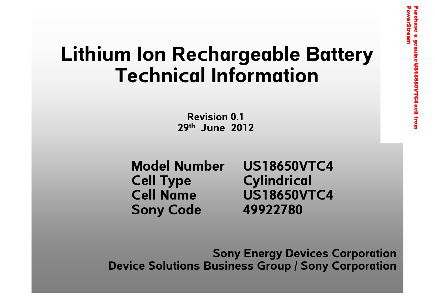# **Lithium Ion [Rechargeable Battery](http://www.powerstream.com/18650-high-discharge-rate.htm) Technical Information**

**Revision 0.129th June 2012**

**Cell Type Cylindrical Sony Code 49922780**

**Model Number US18650VTC4Cell Name US18650VTC4**

**Sony Energy Devices Corporation Device Solutions Business Group / Sony Corporation**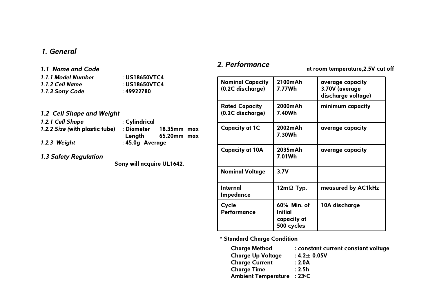#### *1. General*

*1.1 Name and Code*

*1.1.1 Model Number* **: US18650VTC4***1.1.2 Cell Name*

*1.1.3 Sony Code* **: 49922780**

- **: US18650VTC4**
- *1.2 Cell Shape and Weight*
- *1.2.1 Cell Shape* **: Cylindrical** *1.2.2 Size (***with plastic tube) : Diameter 18.35mm max Length 65.20mm max** *1.2.3 Weight* **: 45.0g Average**

*1.3 Safety Regulation*

**Sony will acquire UL1642.**

#### *2. Performance*

**at room temperature,2.5V cut off**

| <b>Nominal Capacity</b><br>(0.2C discharge) | 2100mAh<br>7.77Wh                                   | average capacity<br>3.70V (average<br>discharge voltage) |
|---------------------------------------------|-----------------------------------------------------|----------------------------------------------------------|
| <b>Rated Capacity</b><br>(0.2C discharge)   | 2000mAh<br>7.40Wh                                   | minimum capacity                                         |
| <b>Capacity at 1C</b>                       | 2002mAh<br>7.30Wh                                   | average capacity                                         |
| <b>Capacity at 10A</b>                      | 2035mAh<br>7.01Wh                                   | average capacity                                         |
| <b>Nominal Voltage</b>                      | 3.7V                                                |                                                          |
| Internal<br>Impedance                       | $12m\Omega$ Typ.                                    | measured by AC1kHz                                       |
| Cycle<br><b>Performance</b>                 | 60% Min. of<br>Initial<br>capacity at<br>500 cycles | 10A discharge                                            |

**\* Standard Charge Condition**

| <b>Charge Method</b>       | : constant current constant voltage |
|----------------------------|-------------------------------------|
| <b>Charge Up Voltage</b>   | $: 4.2 \pm 0.05V$                   |
| <b>Charge Current</b>      | : 2.0A                              |
| <b>Charge Time</b>         | : 2.5h                              |
| Ambient Temperature : 23°C |                                     |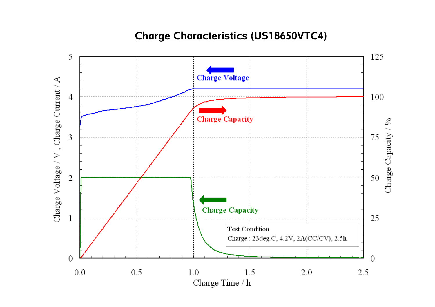### **Charge Characteristics (US18650VTC4)**

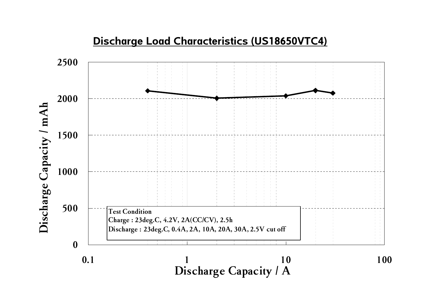

## **Discharge Load Characteristics (US18650VTC4)**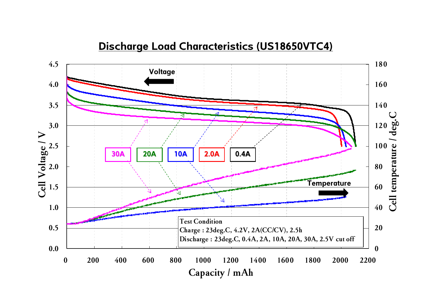#### **Discharge Load Characteristics (US18650VTC4)**

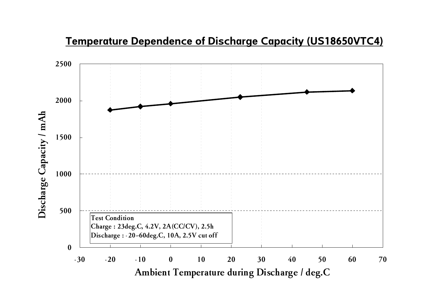#### **Temperature Dependence of Discharge Capacity (US18650VTC4)**

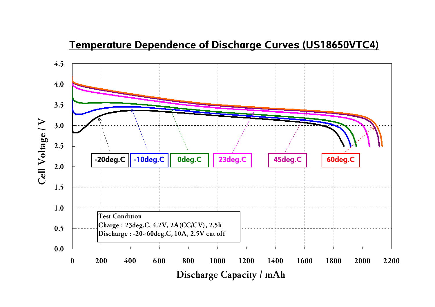#### **Temperature Dependence of Discharge Curves (US18650VTC4)**

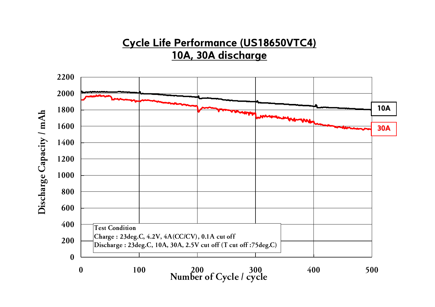## **Cycle Life Performance (US18650VTC4) 10A, 30A discharge**